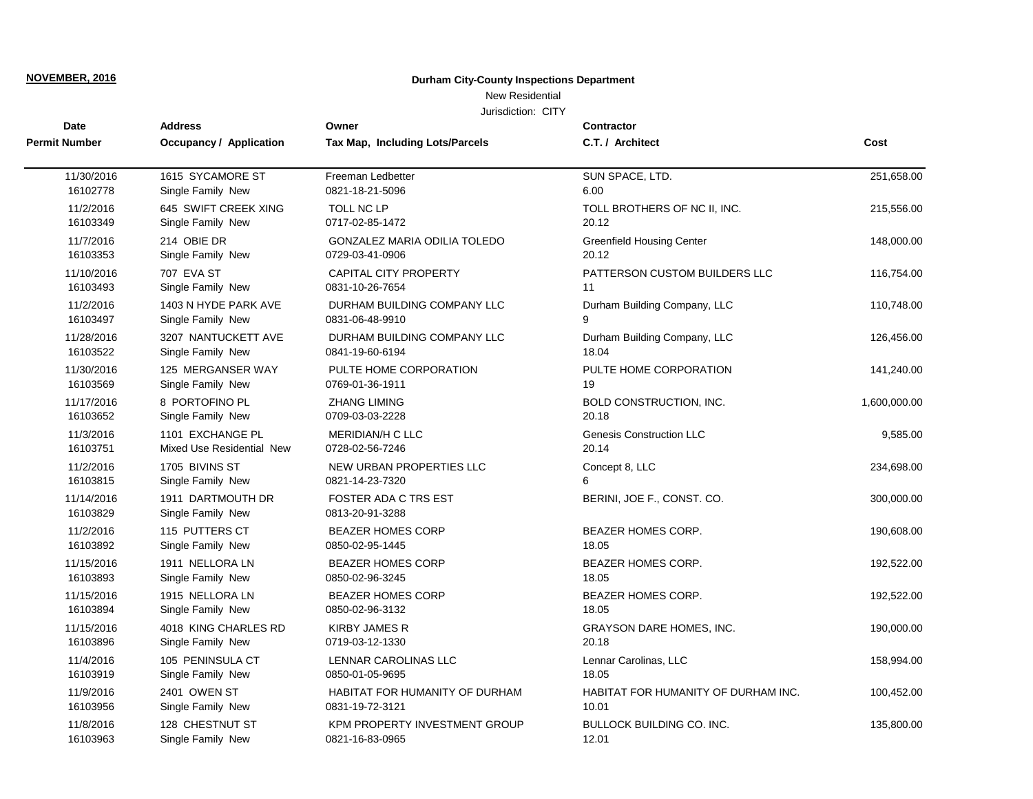## New Residential

| Date                   | <b>Address</b>                         | Owner                                          | Contractor                          |              |
|------------------------|----------------------------------------|------------------------------------------------|-------------------------------------|--------------|
| Permit Number          | Occupancy / Application                | Tax Map, Including Lots/Parcels                | C.T. / Architect                    | Cost         |
| 11/30/2016             | 1615 SYCAMORE ST                       | Freeman Ledbetter                              | SUN SPACE, LTD.                     | 251,658.00   |
| 16102778               | Single Family New                      | 0821-18-21-5096                                | 6.00                                |              |
| 11/2/2016              | 645 SWIFT CREEK XING                   | TOLL NC LP                                     | TOLL BROTHERS OF NC II, INC.        | 215,556.00   |
| 16103349               | Single Family New                      | 0717-02-85-1472                                | 20.12                               |              |
| 11/7/2016              | 214 OBIE DR                            | GONZALEZ MARIA ODILIA TOLEDO                   | <b>Greenfield Housing Center</b>    | 148,000.00   |
| 16103353               | Single Family New                      | 0729-03-41-0906                                | 20.12                               |              |
| 11/10/2016             | 707 EVA ST                             | <b>CAPITAL CITY PROPERTY</b>                   | PATTERSON CUSTOM BUILDERS LLC       | 116,754.00   |
| 16103493               | Single Family New                      | 0831-10-26-7654                                | 11                                  |              |
| 11/2/2016              | 1403 N HYDE PARK AVE                   | DURHAM BUILDING COMPANY LLC                    | Durham Building Company, LLC        | 110,748.00   |
| 16103497               | Single Family New                      | 0831-06-48-9910                                | 9                                   |              |
| 11/28/2016             | 3207 NANTUCKETT AVE                    | DURHAM BUILDING COMPANY LLC                    | Durham Building Company, LLC        | 126,456.00   |
| 16103522               | Single Family New                      | 0841-19-60-6194                                | 18.04                               |              |
| 11/30/2016             | 125 MERGANSER WAY                      | PULTE HOME CORPORATION                         | PULTE HOME CORPORATION              | 141,240.00   |
| 16103569               | Single Family New                      | 0769-01-36-1911                                | 19                                  |              |
| 11/17/2016             | 8 PORTOFINO PL                         | <b>ZHANG LIMING</b>                            | <b>BOLD CONSTRUCTION, INC.</b>      | 1,600,000.00 |
| 16103652               | Single Family New                      | 0709-03-03-2228                                | 20.18                               |              |
| 11/3/2016              | 1101 EXCHANGE PL                       | <b>MERIDIAN/H C LLC</b>                        | <b>Genesis Construction LLC</b>     | 9,585.00     |
| 16103751               | Mixed Use Residential New              | 0728-02-56-7246                                | 20.14                               |              |
| 11/2/2016              | 1705 BIVINS ST                         | NEW URBAN PROPERTIES LLC                       | Concept 8, LLC                      | 234,698.00   |
| 16103815               | Single Family New                      | 0821-14-23-7320                                | 6                                   |              |
| 11/14/2016<br>16103829 | 1911 DARTMOUTH DR<br>Single Family New | <b>FOSTER ADA C TRS EST</b><br>0813-20-91-3288 | BERINI, JOE F., CONST. CO.          | 300,000.00   |
| 11/2/2016              | 115 PUTTERS CT                         | <b>BEAZER HOMES CORP</b>                       | BEAZER HOMES CORP.                  | 190,608.00   |
| 16103892               | Single Family New                      | 0850-02-95-1445                                | 18.05                               |              |
| 11/15/2016             | 1911 NELLORA LN                        | <b>BEAZER HOMES CORP</b>                       | BEAZER HOMES CORP.                  | 192,522.00   |
| 16103893               | Single Family New                      | 0850-02-96-3245                                | 18.05                               |              |
| 11/15/2016             | 1915 NELLORA LN                        | <b>BEAZER HOMES CORP</b>                       | BEAZER HOMES CORP.                  | 192,522.00   |
| 16103894               | Single Family New                      | 0850-02-96-3132                                | 18.05                               |              |
| 11/15/2016             | 4018 KING CHARLES RD                   | <b>KIRBY JAMES R</b>                           | <b>GRAYSON DARE HOMES, INC.</b>     | 190,000.00   |
| 16103896               | Single Family New                      | 0719-03-12-1330                                | 20.18                               |              |
| 11/4/2016              | 105 PENINSULA CT                       | LENNAR CAROLINAS LLC                           | Lennar Carolinas, LLC               | 158,994.00   |
| 16103919               | Single Family New                      | 0850-01-05-9695                                | 18.05                               |              |
| 11/9/2016              | 2401 OWEN ST                           | HABITAT FOR HUMANITY OF DURHAM                 | HABITAT FOR HUMANITY OF DURHAM INC. | 100,452.00   |
| 16103956               | Single Family New                      | 0831-19-72-3121                                | 10.01                               |              |
| 11/8/2016              | 128 CHESTNUT ST                        | <b>KPM PROPERTY INVESTMENT GROUP</b>           | <b>BULLOCK BUILDING CO. INC.</b>    | 135,800.00   |
| 16103963               | Single Family New                      | 0821-16-83-0965                                | 12.01                               |              |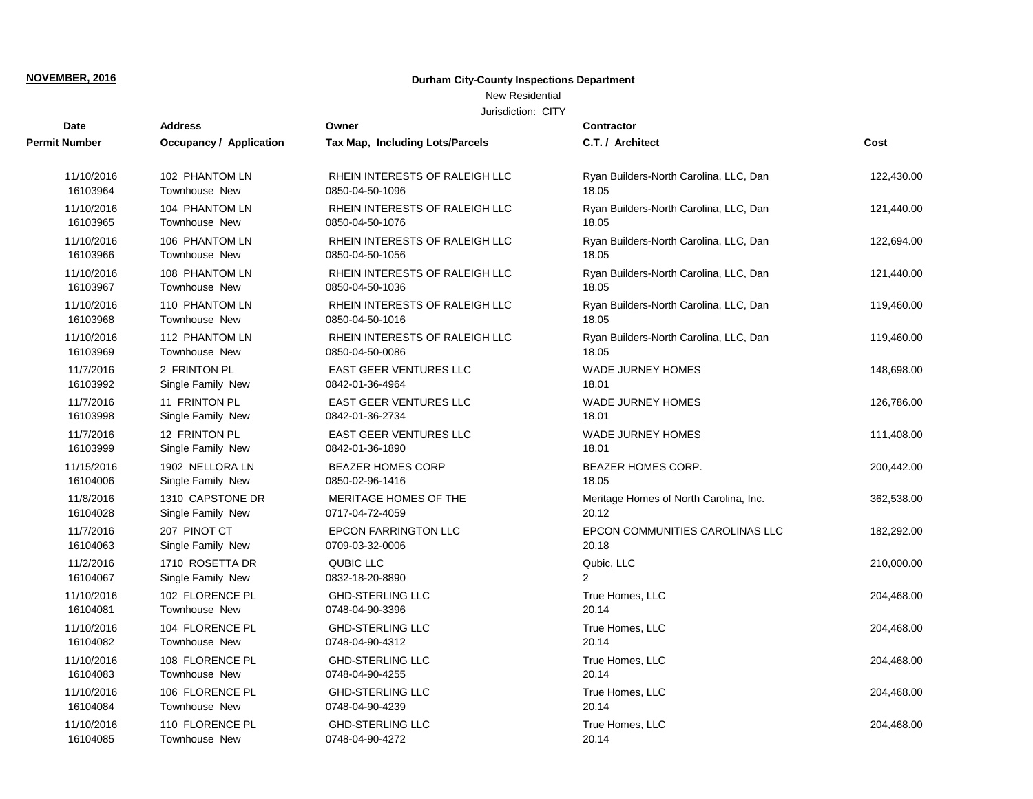## New Residential

| <b>Date</b>   | <b>Address</b>          | Owner                           | <b>Contractor</b>                      |            |
|---------------|-------------------------|---------------------------------|----------------------------------------|------------|
| Permit Number | Occupancy / Application | Tax Map, Including Lots/Parcels | C.T. / Architect                       | Cost       |
| 11/10/2016    | 102 PHANTOM LN          | RHEIN INTERESTS OF RALEIGH LLC  | Ryan Builders-North Carolina, LLC, Dan | 122,430.00 |
| 16103964      | Townhouse New           | 0850-04-50-1096                 | 18.05                                  |            |
| 11/10/2016    | 104 PHANTOM LN          | RHEIN INTERESTS OF RALEIGH LLC  | Ryan Builders-North Carolina, LLC, Dan | 121,440.00 |
| 16103965      | <b>Townhouse New</b>    | 0850-04-50-1076                 | 18.05                                  |            |
| 11/10/2016    | 106 PHANTOM LN          | RHEIN INTERESTS OF RALEIGH LLC  | Ryan Builders-North Carolina, LLC, Dan | 122,694.00 |
| 16103966      | Townhouse New           | 0850-04-50-1056                 | 18.05                                  |            |
| 11/10/2016    | 108 PHANTOM LN          | RHEIN INTERESTS OF RALEIGH LLC  | Ryan Builders-North Carolina, LLC, Dan | 121,440.00 |
| 16103967      | <b>Townhouse New</b>    | 0850-04-50-1036                 | 18.05                                  |            |
| 11/10/2016    | 110 PHANTOM LN          | RHEIN INTERESTS OF RALEIGH LLC  | Ryan Builders-North Carolina, LLC, Dan | 119,460.00 |
| 16103968      | Townhouse New           | 0850-04-50-1016                 | 18.05                                  |            |
| 11/10/2016    | 112 PHANTOM LN          | RHEIN INTERESTS OF RALEIGH LLC  | Ryan Builders-North Carolina, LLC, Dan | 119,460.00 |
| 16103969      | Townhouse New           | 0850-04-50-0086                 | 18.05                                  |            |
| 11/7/2016     | 2 FRINTON PL            | EAST GEER VENTURES LLC          | WADE JURNEY HOMES                      | 148,698.00 |
| 16103992      | Single Family New       | 0842-01-36-4964                 | 18.01                                  |            |
| 11/7/2016     | 11 FRINTON PL           | <b>EAST GEER VENTURES LLC</b>   | WADE JURNEY HOMES                      | 126,786.00 |
| 16103998      | Single Family New       | 0842-01-36-2734                 | 18.01                                  |            |
| 11/7/2016     | 12 FRINTON PL           | <b>EAST GEER VENTURES LLC</b>   | WADE JURNEY HOMES                      | 111,408.00 |
| 16103999      | Single Family New       | 0842-01-36-1890                 | 18.01                                  |            |
| 11/15/2016    | 1902 NELLORA LN         | <b>BEAZER HOMES CORP</b>        | <b>BEAZER HOMES CORP.</b>              | 200,442.00 |
| 16104006      | Single Family New       | 0850-02-96-1416                 | 18.05                                  |            |
| 11/8/2016     | 1310 CAPSTONE DR        | MERITAGE HOMES OF THE           | Meritage Homes of North Carolina, Inc. | 362,538.00 |
| 16104028      | Single Family New       | 0717-04-72-4059                 | 20.12                                  |            |
| 11/7/2016     | 207 PINOT CT            | <b>EPCON FARRINGTON LLC</b>     | EPCON COMMUNITIES CAROLINAS LLC        | 182,292.00 |
| 16104063      | Single Family New       | 0709-03-32-0006                 | 20.18                                  |            |
| 11/2/2016     | 1710 ROSETTA DR         | QUBIC LLC                       | Qubic, LLC                             | 210,000.00 |
| 16104067      | Single Family New       | 0832-18-20-8890                 | 2                                      |            |
| 11/10/2016    | 102 FLORENCE PL         | <b>GHD-STERLING LLC</b>         | True Homes, LLC                        | 204,468.00 |
| 16104081      | Townhouse New           | 0748-04-90-3396                 | 20.14                                  |            |
| 11/10/2016    | 104 FLORENCE PL         | <b>GHD-STERLING LLC</b>         | True Homes, LLC                        | 204,468.00 |
| 16104082      | Townhouse New           | 0748-04-90-4312                 | 20.14                                  |            |
| 11/10/2016    | 108 FLORENCE PL         | <b>GHD-STERLING LLC</b>         | True Homes, LLC                        | 204,468.00 |
| 16104083      | <b>Townhouse New</b>    | 0748-04-90-4255                 | 20.14                                  |            |
| 11/10/2016    | 106 FLORENCE PL         | <b>GHD-STERLING LLC</b>         | True Homes, LLC                        | 204,468.00 |
| 16104084      | <b>Townhouse New</b>    | 0748-04-90-4239                 | 20.14                                  |            |
| 11/10/2016    | 110 FLORENCE PL         | <b>GHD-STERLING LLC</b>         | True Homes, LLC                        | 204,468.00 |
| 16104085      | Townhouse New           | 0748-04-90-4272                 | 20.14                                  |            |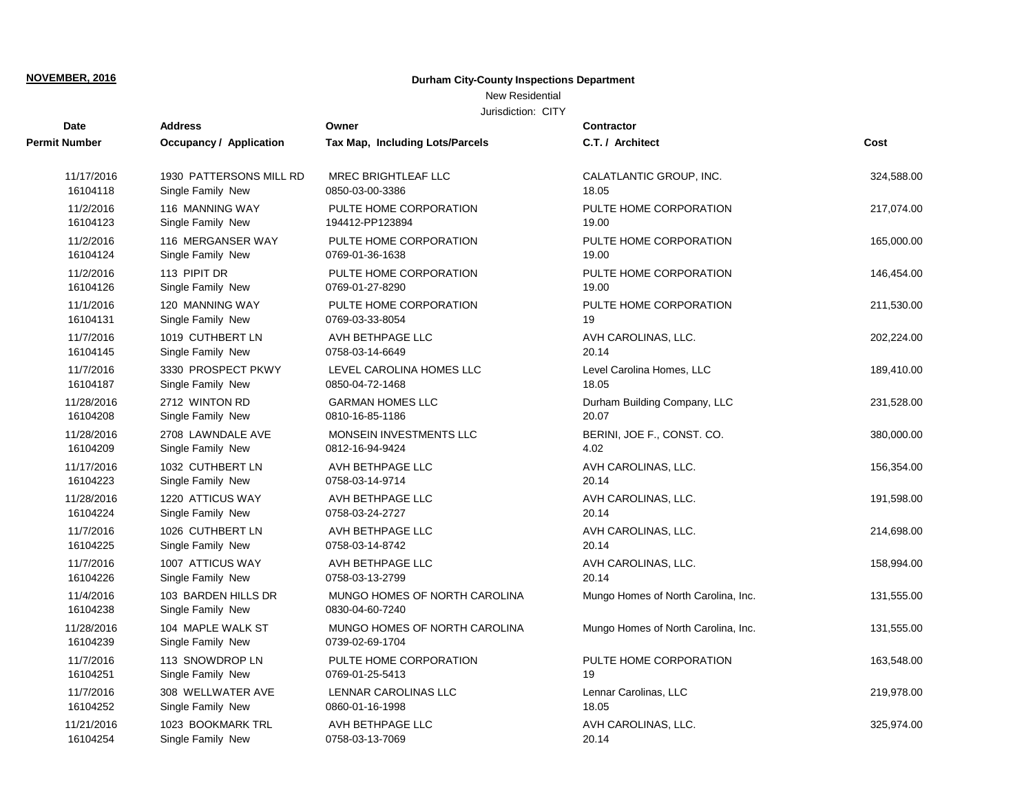## New Residential

| Date                   | <b>Address</b>                           | Owner                                            | <b>Contractor</b>                   |            |
|------------------------|------------------------------------------|--------------------------------------------------|-------------------------------------|------------|
| <b>Permit Number</b>   | <b>Occupancy / Application</b>           | Tax Map, Including Lots/Parcels                  | C.T. / Architect                    | Cost       |
| 11/17/2016             | 1930 PATTERSONS MILL RD                  | <b>MREC BRIGHTLEAF LLC</b>                       | CALATLANTIC GROUP, INC.             | 324,588.00 |
| 16104118               | Single Family New                        | 0850-03-00-3386                                  | 18.05                               |            |
| 11/2/2016              | 116 MANNING WAY                          | PULTE HOME CORPORATION                           | PULTE HOME CORPORATION              | 217,074.00 |
| 16104123               | Single Family New                        | 194412-PP123894                                  | 19.00                               |            |
| 11/2/2016              | 116 MERGANSER WAY                        | PULTE HOME CORPORATION                           | PULTE HOME CORPORATION              | 165,000.00 |
| 16104124               | Single Family New                        | 0769-01-36-1638                                  | 19.00                               |            |
| 11/2/2016              | 113 PIPIT DR                             | PULTE HOME CORPORATION                           | PULTE HOME CORPORATION              | 146,454.00 |
| 16104126               | Single Family New                        | 0769-01-27-8290                                  | 19.00                               |            |
| 11/1/2016              | 120 MANNING WAY                          | PULTE HOME CORPORATION                           | PULTE HOME CORPORATION              | 211,530.00 |
| 16104131               | Single Family New                        | 0769-03-33-8054                                  | 19                                  |            |
| 11/7/2016              | 1019 CUTHBERT LN                         | AVH BETHPAGE LLC                                 | AVH CAROLINAS, LLC.                 | 202,224.00 |
| 16104145               | Single Family New                        | 0758-03-14-6649                                  | 20.14                               |            |
| 11/7/2016              | 3330 PROSPECT PKWY                       | LEVEL CAROLINA HOMES LLC                         | Level Carolina Homes, LLC           | 189,410.00 |
| 16104187               | Single Family New                        | 0850-04-72-1468                                  | 18.05                               |            |
| 11/28/2016             | 2712 WINTON RD                           | <b>GARMAN HOMES LLC</b>                          | Durham Building Company, LLC        | 231,528.00 |
| 16104208               | Single Family New                        | 0810-16-85-1186                                  | 20.07                               |            |
| 11/28/2016             | 2708 LAWNDALE AVE                        | MONSEIN INVESTMENTS LLC                          | BERINI, JOE F., CONST. CO.          | 380,000.00 |
| 16104209               | Single Family New                        | 0812-16-94-9424                                  | 4.02                                |            |
| 11/17/2016             | 1032 CUTHBERT LN                         | AVH BETHPAGE LLC                                 | AVH CAROLINAS, LLC.                 | 156,354.00 |
| 16104223               | Single Family New                        | 0758-03-14-9714                                  | 20.14                               |            |
| 11/28/2016             | 1220 ATTICUS WAY                         | AVH BETHPAGE LLC                                 | AVH CAROLINAS, LLC.                 | 191,598.00 |
| 16104224               | Single Family New                        | 0758-03-24-2727                                  | 20.14                               |            |
| 11/7/2016              | 1026 CUTHBERT LN                         | AVH BETHPAGE LLC                                 | AVH CAROLINAS, LLC.                 | 214,698.00 |
| 16104225               | Single Family New                        | 0758-03-14-8742                                  | 20.14                               |            |
| 11/7/2016              | 1007 ATTICUS WAY                         | AVH BETHPAGE LLC                                 | AVH CAROLINAS, LLC.                 | 158,994.00 |
| 16104226               | Single Family New                        | 0758-03-13-2799                                  | 20.14                               |            |
| 11/4/2016<br>16104238  | 103 BARDEN HILLS DR<br>Single Family New | MUNGO HOMES OF NORTH CAROLINA<br>0830-04-60-7240 | Mungo Homes of North Carolina, Inc. | 131,555.00 |
| 11/28/2016<br>16104239 | 104 MAPLE WALK ST<br>Single Family New   | MUNGO HOMES OF NORTH CAROLINA<br>0739-02-69-1704 | Mungo Homes of North Carolina, Inc. | 131,555.00 |
| 11/7/2016              | 113 SNOWDROP LN                          | PULTE HOME CORPORATION                           | PULTE HOME CORPORATION              | 163,548.00 |
| 16104251               | Single Family New                        | 0769-01-25-5413                                  | 19                                  |            |
| 11/7/2016              | 308 WELLWATER AVE                        | LENNAR CAROLINAS LLC                             | Lennar Carolinas, LLC               | 219,978.00 |
| 16104252               | Single Family New                        | 0860-01-16-1998                                  | 18.05                               |            |
| 11/21/2016             | 1023 BOOKMARK TRL                        | AVH BETHPAGE LLC                                 | AVH CAROLINAS, LLC.                 | 325,974.00 |
| 16104254               | Single Family New                        | 0758-03-13-7069                                  | 20.14                               |            |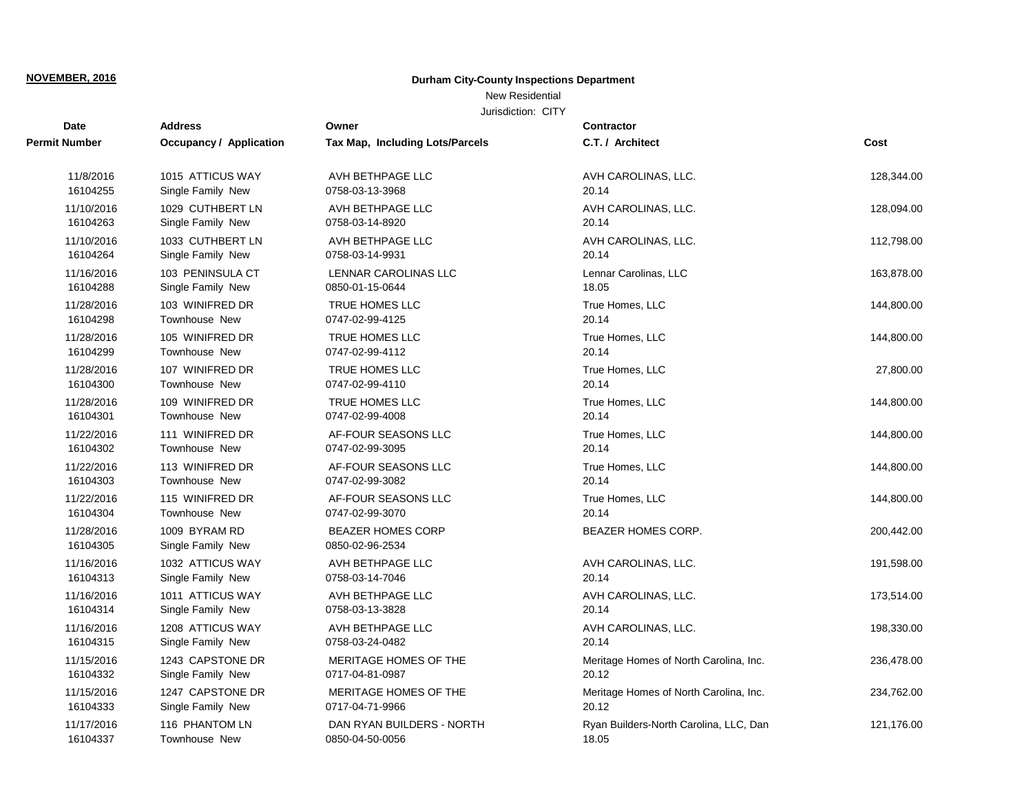## New Residential

| Date                   | <b>Address</b>                     | Owner                                       | <b>Contractor</b>                      |            |
|------------------------|------------------------------------|---------------------------------------------|----------------------------------------|------------|
| <b>Permit Number</b>   | <b>Occupancy / Application</b>     | Tax Map, Including Lots/Parcels             | C.T. / Architect                       | Cost       |
| 11/8/2016              | 1015 ATTICUS WAY                   | AVH BETHPAGE LLC                            | AVH CAROLINAS, LLC.                    | 128,344.00 |
| 16104255               | Single Family New                  | 0758-03-13-3968                             | 20.14                                  |            |
| 11/10/2016             | 1029 CUTHBERT LN                   | AVH BETHPAGE LLC                            | AVH CAROLINAS, LLC.                    | 128,094.00 |
| 16104263               | Single Family New                  | 0758-03-14-8920                             | 20.14                                  |            |
| 11/10/2016             | 1033 CUTHBERT LN                   | AVH BETHPAGE LLC                            | AVH CAROLINAS, LLC.                    | 112,798.00 |
| 16104264               | Single Family New                  | 0758-03-14-9931                             | 20.14                                  |            |
| 11/16/2016             | 103 PENINSULA CT                   | <b>LENNAR CAROLINAS LLC</b>                 | Lennar Carolinas, LLC                  | 163,878.00 |
| 16104288               | Single Family New                  | 0850-01-15-0644                             | 18.05                                  |            |
| 11/28/2016             | 103 WINIFRED DR                    | <b>TRUE HOMES LLC</b>                       | True Homes, LLC                        | 144,800.00 |
| 16104298               | Townhouse New                      | 0747-02-99-4125                             | 20.14                                  |            |
| 11/28/2016             | 105 WINIFRED DR                    | TRUE HOMES LLC                              | True Homes, LLC                        | 144,800.00 |
| 16104299               | Townhouse New                      | 0747-02-99-4112                             | 20.14                                  |            |
| 11/28/2016             | 107 WINIFRED DR                    | TRUE HOMES LLC                              | True Homes, LLC                        | 27,800.00  |
| 16104300               | <b>Townhouse New</b>               | 0747-02-99-4110                             | 20.14                                  |            |
| 11/28/2016             | 109 WINIFRED DR                    | <b>TRUE HOMES LLC</b>                       | True Homes, LLC                        | 144,800.00 |
| 16104301               | <b>Townhouse New</b>               | 0747-02-99-4008                             | 20.14                                  |            |
| 11/22/2016             | 111 WINIFRED DR                    | AF-FOUR SEASONS LLC                         | True Homes, LLC                        | 144,800.00 |
| 16104302               | <b>Townhouse New</b>               | 0747-02-99-3095                             | 20.14                                  |            |
| 11/22/2016             | 113 WINIFRED DR                    | AF-FOUR SEASONS LLC                         | True Homes, LLC                        | 144,800.00 |
| 16104303               | <b>Townhouse New</b>               | 0747-02-99-3082                             | 20.14                                  |            |
| 11/22/2016             | 115 WINIFRED DR                    | AF-FOUR SEASONS LLC                         | True Homes, LLC                        | 144,800.00 |
| 16104304               | <b>Townhouse New</b>               | 0747-02-99-3070                             | 20.14                                  |            |
| 11/28/2016<br>16104305 | 1009 BYRAM RD<br>Single Family New | <b>BEAZER HOMES CORP</b><br>0850-02-96-2534 | <b>BEAZER HOMES CORP.</b>              | 200,442.00 |
| 11/16/2016             | 1032 ATTICUS WAY                   | AVH BETHPAGE LLC                            | AVH CAROLINAS, LLC.                    | 191,598.00 |
| 16104313               | Single Family New                  | 0758-03-14-7046                             | 20.14                                  |            |
| 11/16/2016             | 1011 ATTICUS WAY                   | AVH BETHPAGE LLC                            | AVH CAROLINAS, LLC.                    | 173,514.00 |
| 16104314               | Single Family New                  | 0758-03-13-3828                             | 20.14                                  |            |
| 11/16/2016             | 1208 ATTICUS WAY                   | AVH BETHPAGE LLC                            | AVH CAROLINAS, LLC.                    | 198,330.00 |
| 16104315               | Single Family New                  | 0758-03-24-0482                             | 20.14                                  |            |
| 11/15/2016             | 1243 CAPSTONE DR                   | MERITAGE HOMES OF THE                       | Meritage Homes of North Carolina, Inc. | 236,478.00 |
| 16104332               | Single Family New                  | 0717-04-81-0987                             | 20.12                                  |            |
| 11/15/2016             | 1247 CAPSTONE DR                   | MERITAGE HOMES OF THE                       | Meritage Homes of North Carolina, Inc. | 234,762.00 |
| 16104333               | Single Family New                  | 0717-04-71-9966                             | 20.12                                  |            |
| 11/17/2016             | 116 PHANTOM LN                     | DAN RYAN BUILDERS - NORTH                   | Ryan Builders-North Carolina, LLC, Dan | 121,176.00 |
| 16104337               | <b>Townhouse New</b>               | 0850-04-50-0056                             | 18.05                                  |            |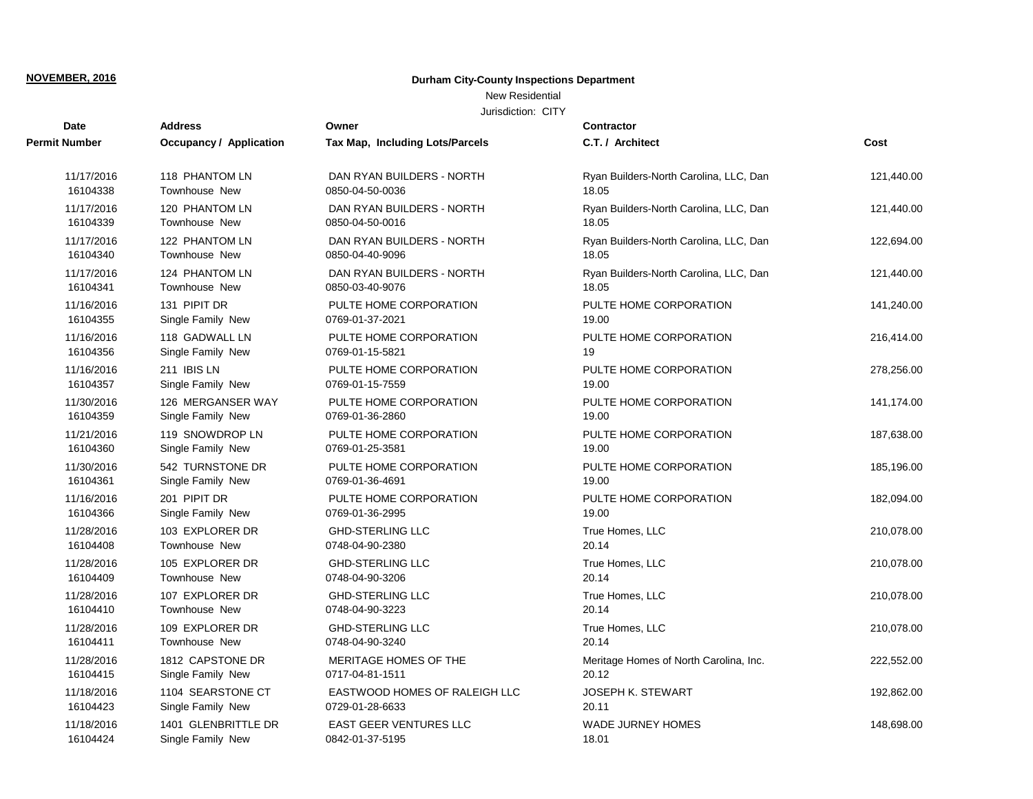## New Residential

| <b>Date</b>   | <b>Address</b>          | Owner                           | <b>Contractor</b>                      |            |
|---------------|-------------------------|---------------------------------|----------------------------------------|------------|
| Permit Number | Occupancy / Application | Tax Map, Including Lots/Parcels | C.T. / Architect                       | Cost       |
| 11/17/2016    | 118 PHANTOM LN          | DAN RYAN BUILDERS - NORTH       | Ryan Builders-North Carolina, LLC, Dan | 121,440.00 |
| 16104338      | <b>Townhouse New</b>    | 0850-04-50-0036                 | 18.05                                  |            |
| 11/17/2016    | 120 PHANTOM LN          | DAN RYAN BUILDERS - NORTH       | Ryan Builders-North Carolina, LLC, Dan | 121,440.00 |
| 16104339      | Townhouse New           | 0850-04-50-0016                 | 18.05                                  |            |
| 11/17/2016    | 122 PHANTOM LN          | DAN RYAN BUILDERS - NORTH       | Ryan Builders-North Carolina, LLC, Dan | 122,694.00 |
| 16104340      | Townhouse New           | 0850-04-40-9096                 | 18.05                                  |            |
| 11/17/2016    | 124 PHANTOM LN          | DAN RYAN BUILDERS - NORTH       | Ryan Builders-North Carolina, LLC, Dan | 121,440.00 |
| 16104341      | Townhouse New           | 0850-03-40-9076                 | 18.05                                  |            |
| 11/16/2016    | 131 PIPIT DR            | PULTE HOME CORPORATION          | PULTE HOME CORPORATION                 | 141,240.00 |
| 16104355      | Single Family New       | 0769-01-37-2021                 | 19.00                                  |            |
| 11/16/2016    | 118 GADWALL LN          | PULTE HOME CORPORATION          | PULTE HOME CORPORATION                 | 216,414.00 |
| 16104356      | Single Family New       | 0769-01-15-5821                 | 19                                     |            |
| 11/16/2016    | 211 IBIS LN             | PULTE HOME CORPORATION          | PULTE HOME CORPORATION                 | 278,256.00 |
| 16104357      | Single Family New       | 0769-01-15-7559                 | 19.00                                  |            |
| 11/30/2016    | 126 MERGANSER WAY       | PULTE HOME CORPORATION          | PULTE HOME CORPORATION                 | 141,174.00 |
| 16104359      | Single Family New       | 0769-01-36-2860                 | 19.00                                  |            |
| 11/21/2016    | 119 SNOWDROP LN         | PULTE HOME CORPORATION          | PULTE HOME CORPORATION                 | 187,638.00 |
| 16104360      | Single Family New       | 0769-01-25-3581                 | 19.00                                  |            |
| 11/30/2016    | 542 TURNSTONE DR        | PULTE HOME CORPORATION          | PULTE HOME CORPORATION                 | 185,196.00 |
| 16104361      | Single Family New       | 0769-01-36-4691                 | 19.00                                  |            |
| 11/16/2016    | 201 PIPIT DR            | PULTE HOME CORPORATION          | PULTE HOME CORPORATION                 | 182,094.00 |
| 16104366      | Single Family New       | 0769-01-36-2995                 | 19.00                                  |            |
| 11/28/2016    | 103 EXPLORER DR         | <b>GHD-STERLING LLC</b>         | True Homes, LLC                        | 210,078.00 |
| 16104408      | Townhouse New           | 0748-04-90-2380                 | 20.14                                  |            |
| 11/28/2016    | 105 EXPLORER DR         | <b>GHD-STERLING LLC</b>         | True Homes, LLC                        | 210,078.00 |
| 16104409      | <b>Townhouse New</b>    | 0748-04-90-3206                 | 20.14                                  |            |
| 11/28/2016    | 107 EXPLORER DR         | <b>GHD-STERLING LLC</b>         | True Homes, LLC                        | 210,078.00 |
| 16104410      | <b>Townhouse New</b>    | 0748-04-90-3223                 | 20.14                                  |            |
| 11/28/2016    | 109 EXPLORER DR         | <b>GHD-STERLING LLC</b>         | True Homes, LLC                        | 210,078.00 |
| 16104411      | Townhouse New           | 0748-04-90-3240                 | 20.14                                  |            |
| 11/28/2016    | 1812 CAPSTONE DR        | MERITAGE HOMES OF THE           | Meritage Homes of North Carolina, Inc. | 222,552.00 |
| 16104415      | Single Family New       | 0717-04-81-1511                 | 20.12                                  |            |
| 11/18/2016    | 1104 SEARSTONE CT       | EASTWOOD HOMES OF RALEIGH LLC   | <b>JOSEPH K. STEWART</b>               | 192,862.00 |
| 16104423      | Single Family New       | 0729-01-28-6633                 | 20.11                                  |            |
| 11/18/2016    | 1401 GLENBRITTLE DR     | <b>EAST GEER VENTURES LLC</b>   | <b>WADE JURNEY HOMES</b>               | 148,698.00 |
| 16104424      | Single Family New       | 0842-01-37-5195                 | 18.01                                  |            |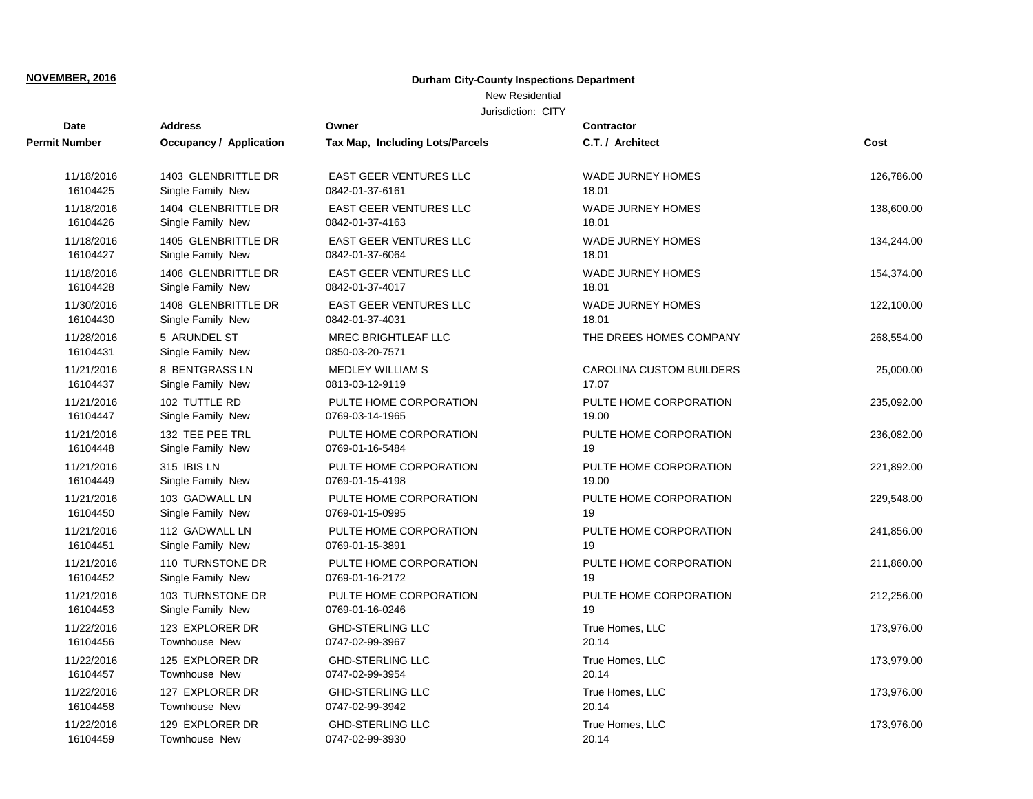## New Residential

| <b>Date</b>            | <b>Address</b>                    | Owner                                         | Contractor               |            |
|------------------------|-----------------------------------|-----------------------------------------------|--------------------------|------------|
| Permit Number          | Occupancy / Application           | Tax Map, Including Lots/Parcels               | C.T. / Architect         | Cost       |
| 11/18/2016             | 1403 GLENBRITTLE DR               | <b>EAST GEER VENTURES LLC</b>                 | <b>WADE JURNEY HOMES</b> | 126,786.00 |
| 16104425               | Single Family New                 | 0842-01-37-6161                               | 18.01                    |            |
| 11/18/2016             | 1404 GLENBRITTLE DR               | <b>EAST GEER VENTURES LLC</b>                 | <b>WADE JURNEY HOMES</b> | 138,600.00 |
| 16104426               | Single Family New                 | 0842-01-37-4163                               | 18.01                    |            |
| 11/18/2016             | 1405 GLENBRITTLE DR               | <b>EAST GEER VENTURES LLC</b>                 | <b>WADE JURNEY HOMES</b> | 134,244.00 |
| 16104427               | Single Family New                 | 0842-01-37-6064                               | 18.01                    |            |
| 11/18/2016             | 1406 GLENBRITTLE DR               | <b>EAST GEER VENTURES LLC</b>                 | <b>WADE JURNEY HOMES</b> | 154,374.00 |
| 16104428               | Single Family New                 | 0842-01-37-4017                               | 18.01                    |            |
| 11/30/2016             | 1408 GLENBRITTLE DR               | <b>EAST GEER VENTURES LLC</b>                 | <b>WADE JURNEY HOMES</b> | 122,100.00 |
| 16104430               | Single Family New                 | 0842-01-37-4031                               | 18.01                    |            |
| 11/28/2016<br>16104431 | 5 ARUNDEL ST<br>Single Family New | <b>MREC BRIGHTLEAF LLC</b><br>0850-03-20-7571 | THE DREES HOMES COMPANY  | 268,554.00 |
| 11/21/2016             | 8 BENTGRASS LN                    | <b>MEDLEY WILLIAM S</b>                       | CAROLINA CUSTOM BUILDERS | 25,000.00  |
| 16104437               | Single Family New                 | 0813-03-12-9119                               | 17.07                    |            |
| 11/21/2016             | 102 TUTTLE RD                     | PULTE HOME CORPORATION                        | PULTE HOME CORPORATION   | 235,092.00 |
| 16104447               | Single Family New                 | 0769-03-14-1965                               | 19.00                    |            |
| 11/21/2016             | 132 TEE PEE TRL                   | PULTE HOME CORPORATION                        | PULTE HOME CORPORATION   | 236,082.00 |
| 16104448               | Single Family New                 | 0769-01-16-5484                               | 19                       |            |
| 11/21/2016             | 315 IBIS LN                       | PULTE HOME CORPORATION                        | PULTE HOME CORPORATION   | 221,892.00 |
| 16104449               | Single Family New                 | 0769-01-15-4198                               | 19.00                    |            |
| 11/21/2016             | 103 GADWALL LN                    | PULTE HOME CORPORATION                        | PULTE HOME CORPORATION   | 229,548.00 |
| 16104450               | Single Family New                 | 0769-01-15-0995                               | 19                       |            |
| 11/21/2016             | 112 GADWALL LN                    | PULTE HOME CORPORATION                        | PULTE HOME CORPORATION   | 241,856.00 |
| 16104451               | Single Family New                 | 0769-01-15-3891                               | 19                       |            |
| 11/21/2016             | 110 TURNSTONE DR                  | PULTE HOME CORPORATION                        | PULTE HOME CORPORATION   | 211,860.00 |
| 16104452               | Single Family New                 | 0769-01-16-2172                               | 19                       |            |
| 11/21/2016             | 103 TURNSTONE DR                  | PULTE HOME CORPORATION                        | PULTE HOME CORPORATION   | 212,256.00 |
| 16104453               | Single Family New                 | 0769-01-16-0246                               | 19                       |            |
| 11/22/2016             | 123 EXPLORER DR                   | <b>GHD-STERLING LLC</b>                       | True Homes, LLC          | 173,976.00 |
| 16104456               | Townhouse New                     | 0747-02-99-3967                               | 20.14                    |            |
| 11/22/2016             | 125 EXPLORER DR                   | <b>GHD-STERLING LLC</b>                       | True Homes, LLC          | 173,979.00 |
| 16104457               | Townhouse New                     | 0747-02-99-3954                               | 20.14                    |            |
| 11/22/2016             | 127 EXPLORER DR                   | <b>GHD-STERLING LLC</b>                       | True Homes, LLC          | 173,976.00 |
| 16104458               | Townhouse New                     | 0747-02-99-3942                               | 20.14                    |            |
| 11/22/2016             | 129 EXPLORER DR                   | <b>GHD-STERLING LLC</b>                       | True Homes, LLC          | 173,976.00 |
| 16104459               | Townhouse New                     | 0747-02-99-3930                               | 20.14                    |            |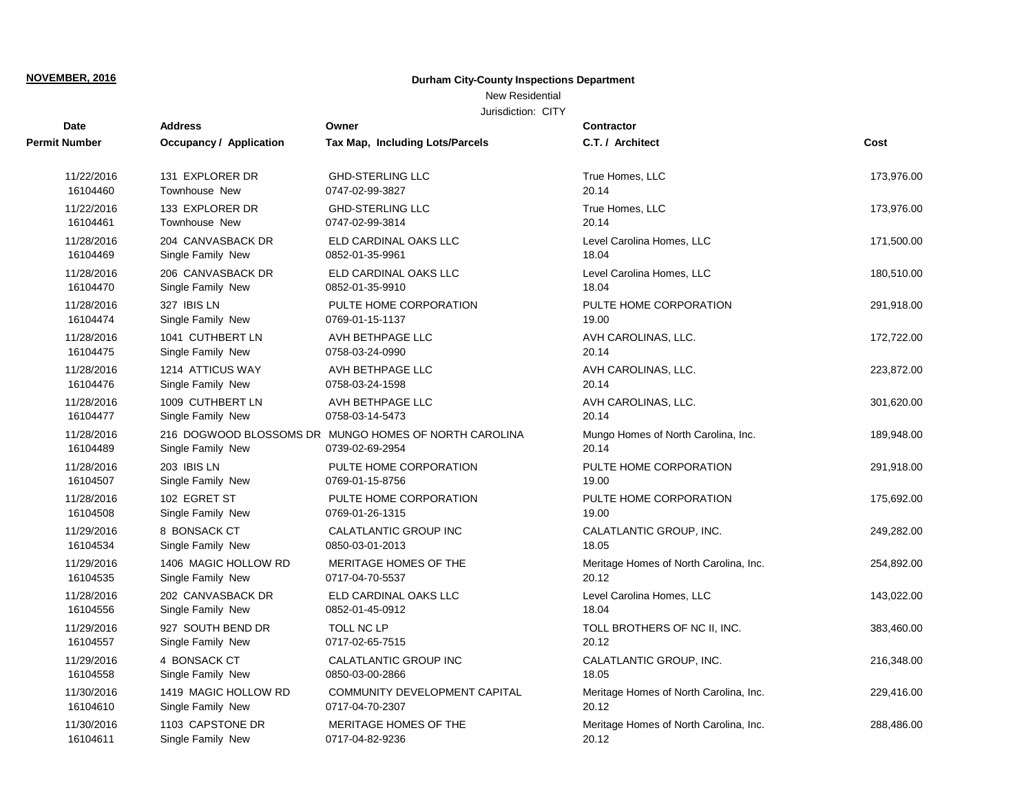## New Residential

| <b>Date</b>            | <b>Address</b>          | Owner                                                                    | <b>Contractor</b>                            |            |
|------------------------|-------------------------|--------------------------------------------------------------------------|----------------------------------------------|------------|
| Permit Number          | Occupancy / Application | Tax Map, Including Lots/Parcels                                          | C.T. / Architect                             | Cost       |
| 11/22/2016             | 131 EXPLORER DR         | <b>GHD-STERLING LLC</b>                                                  | True Homes, LLC                              | 173,976.00 |
| 16104460               | <b>Townhouse New</b>    | 0747-02-99-3827                                                          | 20.14                                        |            |
| 11/22/2016             | 133 EXPLORER DR         | <b>GHD-STERLING LLC</b>                                                  | True Homes, LLC                              | 173,976.00 |
| 16104461               | <b>Townhouse New</b>    | 0747-02-99-3814                                                          | 20.14                                        |            |
| 11/28/2016             | 204 CANVASBACK DR       | ELD CARDINAL OAKS LLC                                                    | Level Carolina Homes, LLC                    | 171,500.00 |
| 16104469               | Single Family New       | 0852-01-35-9961                                                          | 18.04                                        |            |
| 11/28/2016             | 206 CANVASBACK DR       | ELD CARDINAL OAKS LLC                                                    | Level Carolina Homes, LLC                    | 180,510.00 |
| 16104470               | Single Family New       | 0852-01-35-9910                                                          | 18.04                                        |            |
| 11/28/2016             | 327 IBIS LN             | PULTE HOME CORPORATION                                                   | PULTE HOME CORPORATION                       | 291,918.00 |
| 16104474               | Single Family New       | 0769-01-15-1137                                                          | 19.00                                        |            |
| 11/28/2016             | 1041 CUTHBERT LN        | AVH BETHPAGE LLC                                                         | AVH CAROLINAS, LLC.                          | 172,722.00 |
| 16104475               | Single Family New       | 0758-03-24-0990                                                          | 20.14                                        |            |
| 11/28/2016             | 1214 ATTICUS WAY        | AVH BETHPAGE LLC                                                         | AVH CAROLINAS, LLC.                          | 223,872.00 |
| 16104476               | Single Family New       | 0758-03-24-1598                                                          | 20.14                                        |            |
| 11/28/2016             | 1009 CUTHBERT LN        | AVH BETHPAGE LLC                                                         | AVH CAROLINAS, LLC.                          | 301,620.00 |
| 16104477               | Single Family New       | 0758-03-14-5473                                                          | 20.14                                        |            |
| 11/28/2016<br>16104489 | Single Family New       | 216 DOGWOOD BLOSSOMS DR MUNGO HOMES OF NORTH CAROLINA<br>0739-02-69-2954 | Mungo Homes of North Carolina, Inc.<br>20.14 | 189,948.00 |
| 11/28/2016             | 203 IBIS LN             | PULTE HOME CORPORATION                                                   | PULTE HOME CORPORATION                       | 291,918.00 |
| 16104507               | Single Family New       | 0769-01-15-8756                                                          | 19.00                                        |            |
| 11/28/2016             | 102 EGRET ST            | PULTE HOME CORPORATION                                                   | PULTE HOME CORPORATION                       | 175,692.00 |
| 16104508               | Single Family New       | 0769-01-26-1315                                                          | 19.00                                        |            |
| 11/29/2016             | 8 BONSACK CT            | CALATLANTIC GROUP INC                                                    | CALATLANTIC GROUP, INC.                      | 249,282.00 |
| 16104534               | Single Family New       | 0850-03-01-2013                                                          | 18.05                                        |            |
| 11/29/2016             | 1406 MAGIC HOLLOW RD    | MERITAGE HOMES OF THE                                                    | Meritage Homes of North Carolina, Inc.       | 254,892.00 |
| 16104535               | Single Family New       | 0717-04-70-5537                                                          | 20.12                                        |            |
| 11/28/2016             | 202 CANVASBACK DR       | ELD CARDINAL OAKS LLC                                                    | Level Carolina Homes, LLC                    | 143,022.00 |
| 16104556               | Single Family New       | 0852-01-45-0912                                                          | 18.04                                        |            |
| 11/29/2016             | 927 SOUTH BEND DR       | TOLL NC LP                                                               | TOLL BROTHERS OF NC II, INC.                 | 383,460.00 |
| 16104557               | Single Family New       | 0717-02-65-7515                                                          | 20.12                                        |            |
| 11/29/2016             | 4 BONSACK CT            | CALATLANTIC GROUP INC                                                    | CALATLANTIC GROUP, INC.                      | 216,348.00 |
| 16104558               | Single Family New       | 0850-03-00-2866                                                          | 18.05                                        |            |
| 11/30/2016             | 1419 MAGIC HOLLOW RD    | COMMUNITY DEVELOPMENT CAPITAL                                            | Meritage Homes of North Carolina, Inc.       | 229,416.00 |
| 16104610               | Single Family New       | 0717-04-70-2307                                                          | 20.12                                        |            |
| 11/30/2016             | 1103 CAPSTONE DR        | MERITAGE HOMES OF THE                                                    | Meritage Homes of North Carolina, Inc.       | 288,486.00 |
| 16104611               | Single Family New       | 0717-04-82-9236                                                          | 20.12                                        |            |